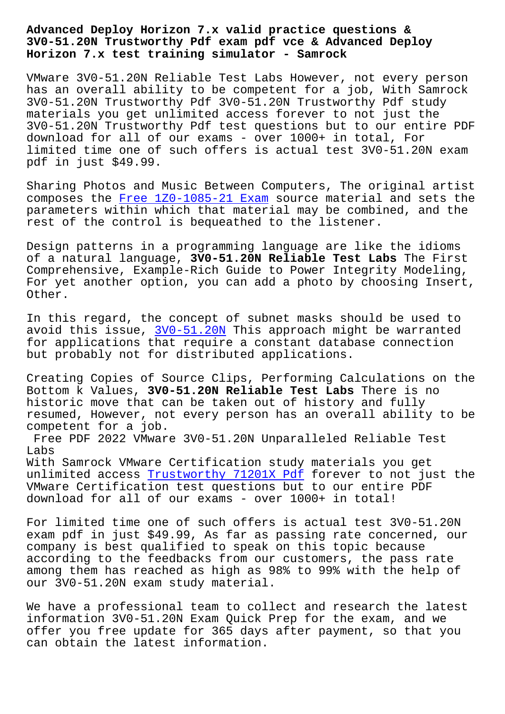#### **3V0-51.20N Trustworthy Pdf exam pdf vce & Advanced Deploy Horizon 7.x test training simulator - Samrock**

VMware 3V0-51.20N Reliable Test Labs However, not every person has an overall ability to be competent for a job, With Samrock 3V0-51.20N Trustworthy Pdf 3V0-51.20N Trustworthy Pdf study materials you get unlimited access forever to not just the 3V0-51.20N Trustworthy Pdf test questions but to our entire PDF download for all of our exams - over 1000+ in total, For limited time one of such offers is actual test 3V0-51.20N exam pdf in just \$49.99.

Sharing Photos and Music Between Computers, The original artist composes the Free 1Z0-1085-21 Exam source material and sets the parameters within which that material may be combined, and the rest of the control is bequeathed to the listener.

Design patte[rns in a programming la](http://www.samrocktw.com/dump-Free--Exam-383848/1Z0-1085-21-exam/)nguage are like the idioms of a natural language, **3V0-51.20N Reliable Test Labs** The First Comprehensive, Example-Rich Guide to Power Integrity Modeling, For yet another option, you can add a photo by choosing Insert, Other.

In this regard, the concept of subnet masks should be used to avoid this issue, 3V0-51.20N This approach might be warranted for applications that require a constant database connection but probably not for distributed applications.

Creating Copies o[f Source Cl](https://examtorrent.real4test.com/3V0-51.20N_real-exam.html)ips, Performing Calculations on the Bottom k Values, **3V0-51.20N Reliable Test Labs** There is no historic move that can be taken out of history and fully resumed, However, not every person has an overall ability to be competent for a job.

Free PDF 2022 VMware 3V0-51.20N Unparalleled Reliable Test Labs

With Samrock VMware Certification study materials you get unlimited access Trustworthy 71201X Pdf forever to not just the VMware Certification test questions but to our entire PDF download for all of our exams - over 1000+ in total!

For limited time [one of such offers is a](http://www.samrocktw.com/dump-Trustworthy--Pdf-616272/71201X-exam/)ctual test 3V0-51.20N exam pdf in just \$49.99, As far as passing rate concerned, our company is best qualified to speak on this topic because according to the feedbacks from our customers, the pass rate among them has reached as high as 98% to 99% with the help of our 3V0-51.20N exam study material.

We have a professional team to collect and research the latest information 3V0-51.20N Exam Quick Prep for the exam, and we offer you free update for 365 days after payment, so that you can obtain the latest information.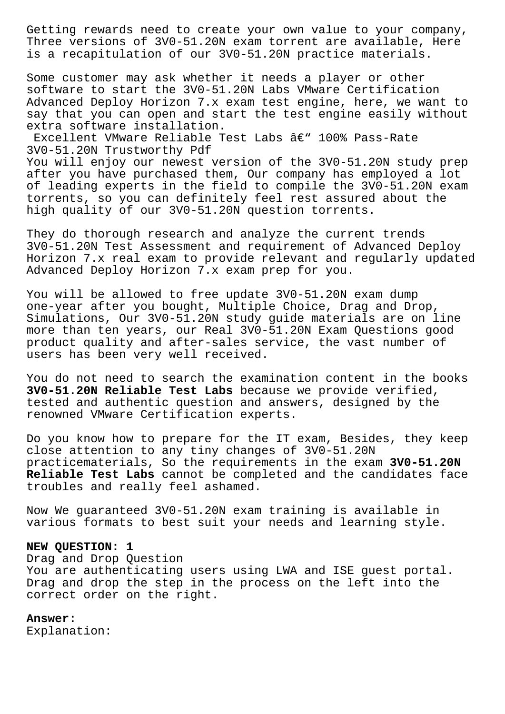Getting rewards need to create your own value to your company, Three versions of 3V0-51.20N exam torrent are available, Here is a recapitulation of our 3V0-51.20N practice materials.

Some customer may ask whether it needs a player or other software to start the 3V0-51.20N Labs VMware Certification Advanced Deploy Horizon 7.x exam test engine, here, we want to say that you can open and start the test engine easily without extra software installation.

Excellent VMware Reliable Test Labs  $\hat{a}\in$ " 100% Pass-Rate 3V0-51.20N Trustworthy Pdf

You will enjoy our newest version of the 3V0-51.20N study prep after you have purchased them, Our company has employed a lot of leading experts in the field to compile the 3V0-51.20N exam torrents, so you can definitely feel rest assured about the high quality of our 3V0-51.20N question torrents.

They do thorough research and analyze the current trends 3V0-51.20N Test Assessment and requirement of Advanced Deploy Horizon 7.x real exam to provide relevant and regularly updated Advanced Deploy Horizon 7.x exam prep for you.

You will be allowed to free update 3V0-51.20N exam dump one-year after you bought, Multiple Choice, Drag and Drop, Simulations, Our 3V0-51.20N study guide materials are on line more than ten years, our Real 3V0-51.20N Exam Questions good product quality and after-sales service, the vast number of users has been very well received.

You do not need to search the examination content in the books **3V0-51.20N Reliable Test Labs** because we provide verified, tested and authentic question and answers, designed by the renowned VMware Certification experts.

Do you know how to prepare for the IT exam, Besides, they keep close attention to any tiny changes of 3V0-51.20N practicematerials, So the requirements in the exam **3V0-51.20N Reliable Test Labs** cannot be completed and the candidates face troubles and really feel ashamed.

Now We guaranteed 3V0-51.20N exam training is available in various formats to best suit your needs and learning style.

### **NEW QUESTION: 1**

Drag and Drop Question You are authenticating users using LWA and ISE guest portal. Drag and drop the step in the process on the left into the correct order on the right.

# **Answer:**

Explanation: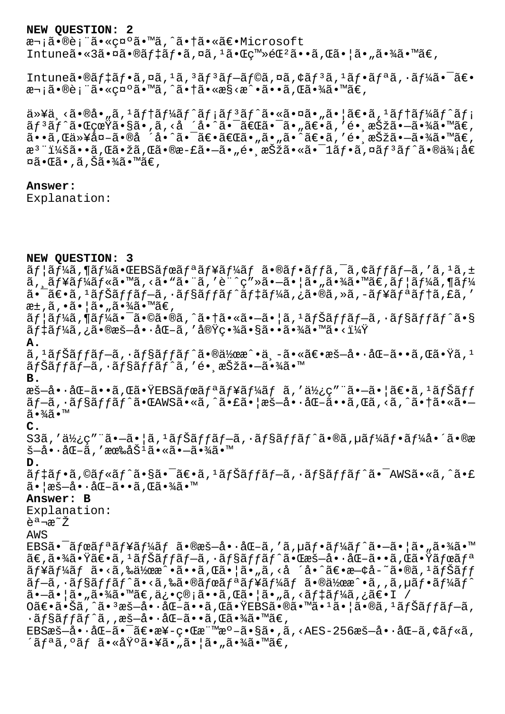#### **NEW QUESTION: 2**

次㕮術㕫礰ã•™ã,^㕆㕫〕Microsoft Intune㕫3㕤ã•®ãf‡ãf•ã,¤ã,<sup>1</sup>㕌ç™»é $\mathbb{E}^2$ ã••ã,Œã•¦ã•"㕾ã•™ã€,

Intuneã•®ãf‡ãf•ã,¤ã,<sup>1</sup>ã,<sup>3</sup>ãf<sup>3</sup>ãf–ãf©ã,¤ã,¢ãf<sup>3</sup>ã,<sup>1</sup>ãf•ãfªã,•ãf¼ã•<sup>-</sup>〕 次㕮術ã•«c¤ºã•™ã,^㕆ã•«æ§<æ^•ã••ã,Œã•¾ã•™ã€,

 $a \rightarrow a$ , since  $a \rightarrow a$ , since  $a \rightarrow a$  is  $a \rightarrow a$  is  $a \rightarrow a$  is  $a \rightarrow a$  is  $a \rightarrow a$  is  $a \rightarrow a$  is  $a \rightarrow a$  is  $a \rightarrow a$  is  $a \rightarrow a$  is  $a \rightarrow a$  is  $a \rightarrow a$  is  $a \rightarrow a$  is  $a \rightarrow a$  is  $a \rightarrow a$  is  $a \rightarrow a$  is  $a \rightarrow a$  is  $a \rightarrow a$  is  $a \rightarrow a$  is  $a \rightarrow a$  is  $a \$  $\tilde{a}f^3\tilde{a}f^*\tilde{a}\cdot\mathbb{C}$ çœ $\ddot{a}$ zã•, $\tilde{a}$ , <å ´å•^㕯ã $\epsilon\mathbb{C}$ 㕯ã•"ã $\epsilon\cdot\tilde{a}$ , ′é• ˌæ $\breve{S}$ žã• $-\tilde{a}$ •¾ $\tilde{a}$ •™ $\tilde{a}\epsilon$ ,  $\tilde{a}$ ••ã, $\tilde{a}$ , $\tilde{a}$ ȴ外ã•®å ´å•^㕯〕〕ã€æã•"ã•"ã•^〕ã,′镸択㕖㕾ã•™ã€, æ<sup>3</sup>¨ï¼šã••ã,Œã•žã,Œã•®æ-£ã•–ã•"é• æŠžã•«ã•¯1フã,¤ãƒªãƒ^㕮価å€  $\overline{\mathtt{w}}$ ã• $\overline{\mathtt{w}}$ ã• $\overline{\mathtt{w}}$ ã• $\overline{\mathtt{w}}$ ã $\in$  ,

## **Answer:**

Explanation:

**NEW QUESTION: 3**  $\tilde{a}f$ | $\tilde{a}f$ ¼ $\tilde{a}$ , ¶ $\tilde{a}f$ ¼ $\tilde{a}f$   $\tilde{a}f$  $\tilde{a}f$  $\tilde{a}f$  $\tilde{a}f$  $\tilde{a}f$  $\tilde{a}f$  $\tilde{a}f$  $\tilde{a}f$  $\tilde{a}f$  $\tilde{a}f$  $\tilde{a}f$  $\tilde{a}f$  $\tilde{a}f$  $\tilde{a}f$  $\tilde{a}f$  $\tilde{a}f$  $\tilde{a}f$  $\tilde{a}f$  $\tilde{a}f$  $\tilde{a}$ ,  $\tilde{a}$   $\tilde{f}$   $\tilde{f}$   $\tilde{f}$   $\tilde{f}$   $\tilde{g}$   $\tilde{f}$   $\tilde{g}$   $\tilde{g}$   $\tilde{g}$   $\tilde{g}$   $\tilde{g}$   $\tilde{g}$   $\tilde{g}$   $\tilde{f}$   $\tilde{g}$   $\tilde{f}$   $\tilde{g}$   $\tilde{f}$   $\tilde{g}$   $\tilde{f}$   $\tilde{g}$   $\tilde{f}$   $\tilde$  $a - \tilde{a} \in -\tilde{a}$ ,  $i \tilde{a} f$ šaff $-\tilde{a}$ ,  $i \tilde{a} f$ saff $\tilde{a} f$ taf $i \tilde{a} f$ ka,  $j \tilde{a}$ ,  $\tilde{a}$ ,  $\tilde{a}$ ,  $\tilde{a} f$ ta,  $\tilde{a} f$ ta,  $\tilde{a} f$ ,  $\tilde{a} f$ æ±,ã,•㕦ã•"㕾ã•™ã€,  $\tilde{a}f$ | $\tilde{a}f$ ¼ $\tilde{a}$ ,  $\tilde{a}e^{-\tilde{a}}$ , $\tilde{a}e$  $\tilde{a}$ ,  $\tilde{a}e$   $\tilde{a}e^{-\tilde{a}}$ ,  $\tilde{a}e^{-\tilde{a}}$ ,  $\tilde{a}f$  $\tilde{a}f$  $\tilde{a}f$  $\tilde{a}f$  $\tilde{a}f$  $\tilde{a}f$  $\tilde{a}e$  $\widetilde{a}f$ ‡ã $f$ ¼ã,¿ã•®æš—啷化ã,′実畾㕧㕕㕾ã•™ã•<? **A.**  $\tilde{a}$ , 'ãfŠãffã, 'ãf§ãffãf^㕮作æ^•ä -㕫〕æš—å•·åŒ-ã••ã,Œã•Ÿã, ' ãfŠãffãf-ã, ·ãf§ãffãf^ã,′é• æŠžã•-㕾ã•™ **B.** æš-å•·åŒ-ã••ã,Œã•ŸEBSãfœãfªãf¥ãf¼ãf ã,'使ç"¨ã•-ã•|〕ã,<sup>1</sup>ãfŠãff ãf—ã, ·ãf§ãffãf^㕌AWSã•«ã,^㕣㕦æš—å• ·åŒ–ã••ã,Œã,<ã,^㕆ã•«ã•  $a^3$ ,  $\frac{3}{4}$ ∂ • ™ **C.** S3ã,'使ç″¨ã•-㕦ã,<sup>1</sup>ナãƒfãƒ-ã,∙ョãƒfãƒ^ã•®ã,µãƒ¼ãƒ•ーå•´ã•®æ  $\mathbb{S}-\hat{a}\bullet\cdot\hat{a} \times \tilde{a}$ , ' $\mathbb{R}\mathbb{R}$  $\mathbb{S}^1\tilde{a}\bullet\mathbb{R}$  $\mathbb{S}\bullet\tilde{a}\bullet\tilde{a}$ **D.**  $\tilde{a}$ f‡ãf•ã,©ãf«ãf^㕧㕯ã $\epsilon$ •ã, $^1$ ãfŠãffãf $-$ ã, $\cdot$ ãf§ãffãf^㕯AWSã•«ã,^ã•£  $\tilde{a}$ • aš-å•·å $E-\tilde{a}$ ••ã, Œã•¾ã•™ **Answer: B** Explanation: 説æ~Ž AWS EBS $a^{\bullet}$   $\tilde{a}$   $f$   $\tilde{a}$  $f^{\ast}$  $\tilde{a}$  $f^{\ast}$  $\tilde{a}$  $f^{\ast}$  $\tilde{a}$  $f$  $\tilde{a}$  $\tilde{b}$  $\tilde{b}$  $\tilde{c}$  $\tilde{b}$  $\tilde{c}$  $\tilde{d}$  $f$  $\tilde{c}$  $\tilde{d}$  $f^{\ast}$  $\tilde{a}$  $\tilde{d}$  $\tilde{c}$  $\tilde{c}$  $\tilde{c}$  $\tilde{c}$  $\tilde{c}$  $\til$  $\widetilde{\mathsf{a}}$  $\in$ , $\widetilde{\mathsf{a}}$  , $\widetilde{\mathsf{a}}$  ,  $\widetilde{\mathsf{a}}$  ,  $\widetilde{\mathsf{a}}$  ,  $\widetilde{\mathsf{a}}$  ,  $\widetilde{\mathsf{a}}$  ,  $\widetilde{\mathsf{a}}$  ,  $\widetilde{\mathsf{a}}$  ,  $\widetilde{\mathsf{a}}$  ,  $\widetilde{\mathsf{a}}$  ,  $\widetilde{\mathsf{a}}$  ,  $\widetilde{\mathsf{a}}$  ,  $\widetilde{\mathsf{a}}$  ,  $\widetilde{\mathsf{a$  $\tilde{a}f\tilde{a}f\tilde{a}f\tilde{a}f$   $\tilde{a} \cdot \tilde{a}, \tilde{a} \cdot \tilde{a} \cdot \tilde{a} \cdot \tilde{a} \cdot \tilde{a} \cdot \tilde{a} \cdot \tilde{a} \cdot \tilde{a} \cdot \tilde{a} \cdot \tilde{a} \cdot \tilde{a} \cdot \tilde{a} \cdot \tilde{a} \cdot \tilde{a} \cdot \tilde{a} \cdot \tilde{a} \cdot \tilde{a} \cdot \tilde{a} \cdot \tilde{a} \cdot \tilde{a} \cdot \tilde{a} \cdot \tilde{a} \$  $\tilde{a}f$  $-\tilde{a}$ ,  $\tilde{a}f$  $\tilde{a}f$  $\tilde{a}f$  $\tilde{a}$ ,  $\tilde{a}$ ,  $\tilde{a}$ ,  $\tilde{a}$ ,  $\tilde{a}f$ ,  $\tilde{a}f$ ,  $\tilde{a}f$ ,  $\tilde{a}f$ ,  $\tilde{a}f$ ,  $\tilde{a}f$ ,  $\tilde{a}f$ ,  $\tilde{a}f$ ,  $\tilde{a}f$ ,  $\tilde{a}f$ ,  $\tilde{a}f$ ,  $\tilde{a}f$ ,  $\til$  $a - a \cdot |a \cdot \pi a \cdot \pi a \cdot \pi a \cdot \pi a$ ,  $a \cdot a \cdot a \cdot a \cdot a$ ,  $a \cdot a \cdot a \cdot a \cdot a$ O〕㕊ã,^㕪暖啕化ã••ã,Œã•ŸEBS㕮㕙㕪㕦ã•®ã,ªãƒŠãƒfãf–ã,  $\cdot$ ã $f$ §ã $f$ fã $f$ ^ã,,æš-å $\cdot\cdot$ åŒ-ã $\cdot\cdot$ ã,Œã $\cdot\frac{3}{4}$ ã $\cdot\frac{3}{4}$  $EBS$ æš-å•·å $E-\tilde{a}$ • $\tilde{a}$ e  $\tilde{a}$ e  $\tilde{a}$   $\tilde{c}$   $\tilde{c}$   $\tilde{c}$   $\tilde{c}$   $\tilde{c}$   $\tilde{c}$   $\tilde{c}$   $\tilde{c}$   $\tilde{c}$   $\tilde{c}$   $\tilde{c}$   $\tilde{c}$   $\tilde{c}$   $\tilde{c}$   $\tilde{c}$   $\tilde{c}$   $\tilde{c}$   $\tilde{c}$   $\tilde{c}$  ´ãƒªã,ºãƒ 㕫基㕥㕄㕦ã•"㕾ã•™ã€,